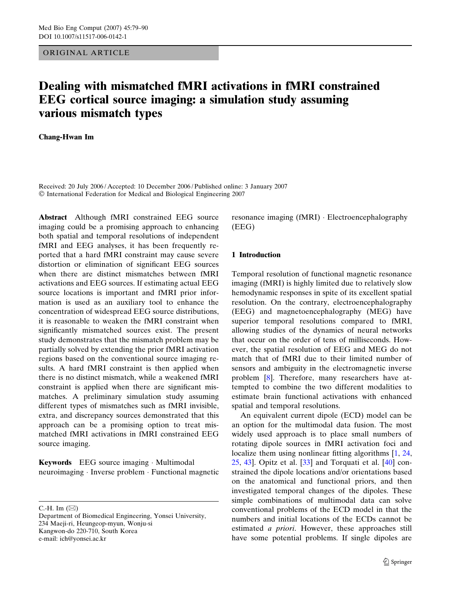## ORIGINAL ARTICLE

# Dealing with mismatched fMRI activations in fMRI constrained EEG cortical source imaging: a simulation study assuming various mismatch types

# Chang-Hwan Im

Received: 20 July 2006 / Accepted: 10 December 2006 / Published online: 3 January 2007 International Federation for Medical and Biological Engineering 2007

Abstract Although fMRI constrained EEG source imaging could be a promising approach to enhancing both spatial and temporal resolutions of independent fMRI and EEG analyses, it has been frequently reported that a hard fMRI constraint may cause severe distortion or elimination of significant EEG sources when there are distinct mismatches between fMRI activations and EEG sources. If estimating actual EEG source locations is important and fMRI prior information is used as an auxiliary tool to enhance the concentration of widespread EEG source distributions, it is reasonable to weaken the fMRI constraint when significantly mismatched sources exist. The present study demonstrates that the mismatch problem may be partially solved by extending the prior fMRI activation regions based on the conventional source imaging results. A hard fMRI constraint is then applied when there is no distinct mismatch, while a weakened fMRI constraint is applied when there are significant mismatches. A preliminary simulation study assuming different types of mismatches such as fMRI invisible, extra, and discrepancy sources demonstrated that this approach can be a promising option to treat mismatched fMRI activations in fMRI constrained EEG source imaging.

Keywords EEG source imaging · Multimodal neuroimaging · Inverse problem · Functional magnetic

C.-H. Im  $(\boxtimes)$ 

resonance imaging (fMRI)  $\cdot$  Electroencephalography (EEG)

# 1 Introduction

Temporal resolution of functional magnetic resonance imaging (fMRI) is highly limited due to relatively slow hemodynamic responses in spite of its excellent spatial resolution. On the contrary, electroencephalography (EEG) and magnetoencephalography (MEG) have superior temporal resolutions compared to fMRI, allowing studies of the dynamics of neural networks that occur on the order of tens of milliseconds. However, the spatial resolution of EEG and MEG do not match that of fMRI due to their limited number of sensors and ambiguity in the electromagnetic inverse problem [[8\]](#page-10-0). Therefore, many researchers have attempted to combine the two different modalities to estimate brain functional activations with enhanced spatial and temporal resolutions.

An equivalent current dipole (ECD) model can be an option for the multimodal data fusion. The most widely used approach is to place small numbers of rotating dipole sources in fMRI activation foci and localize them using nonlinear fitting algorithms [[1,](#page-9-0) [24,](#page-10-0)  $25, 43$  $25, 43$  $25, 43$ ]. Opitz et al.  $\left[33\right]$  and Torquati et al.  $\left[40\right]$  $\left[40\right]$  $\left[40\right]$  constrained the dipole locations and/or orientations based on the anatomical and functional priors, and then investigated temporal changes of the dipoles. These simple combinations of multimodal data can solve conventional problems of the ECD model in that the numbers and initial locations of the ECDs cannot be estimated a priori. However, these approaches still have some potential problems. If single dipoles are

Department of Biomedical Engineering, Yonsei University, 234 Maeji-ri, Heungeop-myun, Wonju-si Kangwon-do 220-710, South Korea e-mail: ich@yonsei.ac.kr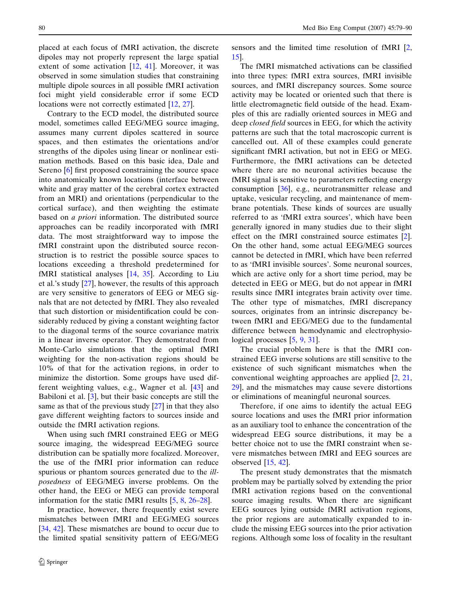placed at each focus of fMRI activation, the discrete dipoles may not properly represent the large spatial extent of some activation [\[12](#page-10-0), [41\]](#page-11-0). Moreover, it was observed in some simulation studies that constraining multiple dipole sources in all possible fMRI activation foci might yield considerable error if some ECD locations were not correctly estimated [\[12](#page-10-0), [27](#page-10-0)].

Contrary to the ECD model, the distributed source model, sometimes called EEG/MEG source imaging, assumes many current dipoles scattered in source spaces, and then estimates the orientations and/or strengths of the dipoles using linear or nonlinear estimation methods. Based on this basic idea, Dale and Sereno [[6\]](#page-10-0) first proposed constraining the source space into anatomically known locations (interface between white and gray matter of the cerebral cortex extracted from an MRI) and orientations (perpendicular to the cortical surface), and then weighting the estimate based on a priori information. The distributed source approaches can be readily incorporated with fMRI data. The most straightforward way to impose the fMRI constraint upon the distributed source reconstruction is to restrict the possible source spaces to locations exceeding a threshold predetermined for fMRI statistical analyses [[14,](#page-10-0) [35](#page-10-0)]. According to Liu et al.'s study [[27\]](#page-10-0), however, the results of this approach are very sensitive to generators of EEG or MEG signals that are not detected by fMRI. They also revealed that such distortion or misidentification could be considerably reduced by giving a constant weighting factor to the diagonal terms of the source covariance matrix in a linear inverse operator. They demonstrated from Monte-Carlo simulations that the optimal fMRI weighting for the non-activation regions should be 10% of that for the activation regions, in order to minimize the distortion. Some groups have used different weighting values, e.g., Wagner et al. [\[43](#page-11-0)] and Babiloni et al. [\[3](#page-9-0)], but their basic concepts are still the same as that of the previous study  $[27]$  $[27]$  in that they also gave different weighting factors to sources inside and outside the fMRI activation regions.

When using such fMRI constrained EEG or MEG source imaging, the widespread EEG/MEG source distribution can be spatially more focalized. Moreover, the use of the fMRI prior information can reduce spurious or phantom sources generated due to the illposedness of EEG/MEG inverse problems. On the other hand, the EEG or MEG can provide temporal information for the static fMRI results [[5,](#page-10-0) [8](#page-10-0), [26–28](#page-10-0)].

In practice, however, there frequently exist severe mismatches between fMRI and EEG/MEG sources [\[34](#page-10-0), [42](#page-11-0)]. These mismatches are bound to occur due to the limited spatial sensitivity pattern of EEG/MEG sensors and the limited time resolution of fMRI [[2,](#page-9-0) [15](#page-10-0)].

The fMRI mismatched activations can be classified into three types: fMRI extra sources, fMRI invisible sources, and fMRI discrepancy sources. Some source activity may be located or oriented such that there is little electromagnetic field outside of the head. Examples of this are radially oriented sources in MEG and deep closed field sources in EEG, for which the activity patterns are such that the total macroscopic current is cancelled out. All of these examples could generate significant fMRI activation, but not in EEG or MEG. Furthermore, the fMRI activations can be detected where there are no neuronal activities because the fMRI signal is sensitive to parameters reflecting energy consumption [\[36](#page-10-0)], e.g., neurotransmitter release and uptake, vesicular recycling, and maintenance of membrane potentials. These kinds of sources are usually referred to as 'fMRI extra sources', which have been generally ignored in many studies due to their slight effect on the fMRI constrained source estimates [\[2](#page-9-0)]. On the other hand, some actual EEG/MEG sources cannot be detected in fMRI, which have been referred to as 'fMRI invisible sources'. Some neuronal sources, which are active only for a short time period, may be detected in EEG or MEG, but do not appear in fMRI results since fMRI integrates brain activity over time. The other type of mismatches, fMRI discrepancy sources, originates from an intrinsic discrepancy between fMRI and EEG/MEG due to the fundamental difference between hemodynamic and electrophysiological processes [\[5](#page-10-0), [9](#page-10-0), [31\]](#page-10-0).

The crucial problem here is that the fMRI constrained EEG inverse solutions are still sensitive to the existence of such significant mismatches when the conventional weighting approaches are applied [[2,](#page-9-0) [21,](#page-10-0) [29](#page-10-0)], and the mismatches may cause severe distortions or eliminations of meaningful neuronal sources.

Therefore, if one aims to identify the actual EEG source locations and uses the fMRI prior information as an auxiliary tool to enhance the concentration of the widespread EEG source distributions, it may be a better choice not to use the fMRI constraint when severe mismatches between fMRI and EEG sources are observed [[15,](#page-10-0) [42\]](#page-11-0).

The present study demonstrates that the mismatch problem may be partially solved by extending the prior fMRI activation regions based on the conventional source imaging results. When there are significant EEG sources lying outside fMRI activation regions, the prior regions are automatically expanded to include the missing EEG sources into the prior activation regions. Although some loss of focality in the resultant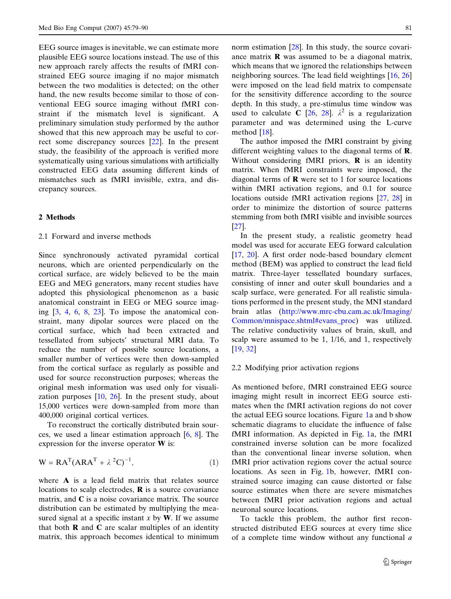EEG source images is inevitable, we can estimate more plausible EEG source locations instead. The use of this new approach rarely affects the results of fMRI constrained EEG source imaging if no major mismatch between the two modalities is detected; on the other hand, the new results become similar to those of conventional EEG source imaging without fMRI constraint if the mismatch level is significant. A preliminary simulation study performed by the author showed that this new approach may be useful to correct some discrepancy sources [\[22](#page-10-0)]. In the present study, the feasibility of the approach is verified more systematically using various simulations with artificially constructed EEG data assuming different kinds of mismatches such as fMRI invisible, extra, and discrepancy sources.

#### 2 Methods

# 2.1 Forward and inverse methods

Since synchronously activated pyramidal cortical neurons, which are oriented perpendicularly on the cortical surface, are widely believed to be the main EEG and MEG generators, many recent studies have adopted this physiological phenomenon as a basic anatomical constraint in EEG or MEG source imaging  $[3, 4, 6, 8, 23]$  $[3, 4, 6, 8, 23]$  $[3, 4, 6, 8, 23]$  $[3, 4, 6, 8, 23]$  $[3, 4, 6, 8, 23]$  $[3, 4, 6, 8, 23]$  $[3, 4, 6, 8, 23]$  $[3, 4, 6, 8, 23]$  $[3, 4, 6, 8, 23]$  $[3, 4, 6, 8, 23]$ . To impose the anatomical constraint, many dipolar sources were placed on the cortical surface, which had been extracted and tessellated from subjects' structural MRI data. To reduce the number of possible source locations, a smaller number of vertices were then down-sampled from the cortical surface as regularly as possible and used for source reconstruction purposes; whereas the original mesh information was used only for visualization purposes  $[10, 26]$  $[10, 26]$  $[10, 26]$  $[10, 26]$ . In the present study, about 15,000 vertices were down-sampled from more than 400,000 original cortical vertices.

To reconstruct the cortically distributed brain sources, we used a linear estimation approach [[6,](#page-10-0) [8](#page-10-0)]. The expression for the inverse operator W is:

$$
W = RAT(ARAT + \lambda2C)-1,
$$
 (1)

where **A** is a lead field matrix that relates source locations to scalp electrodes,  **is a source covariance** matrix, and  $C$  is a noise covariance matrix. The source distribution can be estimated by multiplying the measured signal at a specific instant x by  $W$ . If we assume that both  **and**  $**C**$  **are scalar multiples of an identity** matrix, this approach becomes identical to minimum norm estimation [\[28](#page-10-0)]. In this study, the source covariance matrix  $\bf{R}$  was assumed to be a diagonal matrix, which means that we ignored the relationships between neighboring sources. The lead field weightings [\[16](#page-10-0), [26\]](#page-10-0) were imposed on the lead field matrix to compensate for the sensitivity difference according to the source depth. In this study, a pre-stimulus time window was used to calculate C [[26,](#page-10-0) [28\]](#page-10-0).  $\lambda^2$  is a regularization parameter and was determined using the L-curve method [[18\]](#page-10-0).

The author imposed the fMRI constraint by giving different weighting values to the diagonal terms of R. Without considering fMRI priors,  $\bf{R}$  is an identity matrix. When fMRI constraints were imposed, the diagonal terms of  **were set to 1 for source locations** within fMRI activation regions, and 0.1 for source locations outside fMRI activation regions [\[27](#page-10-0), [28](#page-10-0)] in order to minimize the distortion of source patterns stemming from both fMRI visible and invisible sources [\[27](#page-10-0)].

In the present study, a realistic geometry head model was used for accurate EEG forward calculation [\[17](#page-10-0), [20](#page-10-0)]. A first order node-based boundary element method (BEM) was applied to construct the lead field matrix. Three-layer tessellated boundary surfaces, consisting of inner and outer skull boundaries and a scalp surface, were generated. For all realistic simulations performed in the present study, the MNI standard brain atlas (http://www.mrc-cbu.cam.ac.uk/Imaging/ Common/mnispace.shtml#evans\_proc) was utilized. The relative conductivity values of brain, skull, and scalp were assumed to be 1, 1/16, and 1, respectively [\[19](#page-10-0), [32](#page-10-0)]

## 2.2 Modifying prior activation regions

As mentioned before, fMRI constrained EEG source imaging might result in incorrect EEG source estimates when the fMRI activation regions do not cover the actual EEG source locations. Figure [1a](#page-3-0) and b show schematic diagrams to elucidate the influence of false fMRI information. As depicted in Fig. [1](#page-3-0)a, the fMRI constrained inverse solution can be more focalized than the conventional linear inverse solution, when fMRI prior activation regions cover the actual source locations. As seen in Fig. [1b](#page-3-0), however, fMRI constrained source imaging can cause distorted or false source estimates when there are severe mismatches between fMRI prior activation regions and actual neuronal source locations.

To tackle this problem, the author first reconstructed distributed EEG sources at every time slice of a complete time window without any functional a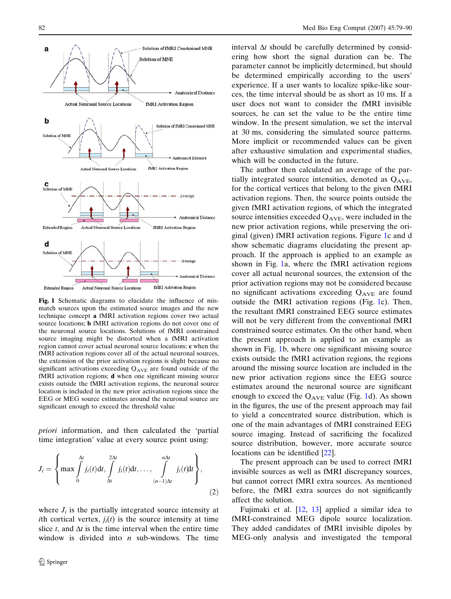<span id="page-3-0"></span>

Fig. 1 Schematic diagrams to elucidate the influence of mismatch sources upon the estimated source images and the new technique concept a fMRI activation regions cover two actual source locations; b fMRI activation regions do not cover one of the neuronal source locations. Solutions of fMRI constrained source imaging might be distorted when a fMRI activation region cannot cover actual neuronal source locations; c when the fMRI activation regions cover all of the actual neuronal sources, the extension of the prior activation regions is slight because no significant activations exceeding  $Q_{\text{AVE}}$  are found outside of the fMRI activation regions; **d** when one significant missing source exists outside the fMRI activation regions, the neuronal source location is included in the new prior activation regions since the EEG or MEG source estimates around the neuronal source are significant enough to exceed the threshold value

priori information, and then calculated the 'partial time integration' value at every source point using:

$$
J_i = \left\{ \max \int\limits_0^{\Delta t} j_i(t) dt, \int\limits_{\Delta t}^{2\Delta t} j_i(t) dt, \dots, \int\limits_{(n-1)\Delta t}^{n\Delta t} j_i(t) dt \right\},\tag{2}
$$

where  $J_i$  is the partially integrated source intensity at ith cortical vertex,  $j_i(t)$  is the source intensity at time slice t, and  $\Delta t$  is the time interval when the entire time window is divided into  $n$  sub-windows. The time

interval  $\Delta t$  should be carefully determined by considering how short the signal duration can be. The parameter cannot be implicitly determined, but should be determined empirically according to the users' experience. If a user wants to localize spike-like sources, the time interval should be as short as 10 ms. If a user does not want to consider the fMRI invisible sources, he can set the value to be the entire time window. In the present simulation, we set the interval at 30 ms, considering the simulated source patterns. More implicit or recommended values can be given after exhaustive simulation and experimental studies, which will be conducted in the future.

The author then calculated an average of the partially integrated source intensities, denoted as  $Q_{AVE}$ , for the cortical vertices that belong to the given fMRI activation regions. Then, the source points outside the given fMRI activation regions, of which the integrated source intensities exceeded  $Q_{AVE}$ , were included in the new prior activation regions, while preserving the original (given) fMRI activation regions. Figure 1c and d show schematic diagrams elucidating the present approach. If the approach is applied to an example as shown in Fig. 1a, where the fMRI activation regions cover all actual neuronal sources, the extension of the prior activation regions may not be considered because no significant activations exceeding QAVE are found outside the fMRI activation regions (Fig. 1c). Then, the resultant fMRI constrained EEG source estimates will not be very different from the conventional fMRI constrained source estimates. On the other hand, when the present approach is applied to an example as shown in Fig. 1b, where one significant missing source exists outside the fMRI activation regions, the regions around the missing source location are included in the new prior activation regions since the EEG source estimates around the neuronal source are significant enough to exceed the  $Q_{\text{AVE}}$  value (Fig. 1d). As shown in the figures, the use of the present approach may fail to yield a concentrated source distribution, which is one of the main advantages of fMRI constrained EEG source imaging. Instead of sacrificing the focalized source distribution, however, more accurate source locations can be identified [[22\]](#page-10-0).

The present approach can be used to correct fMRI invisible sources as well as fMRI discrepancy sources, but cannot correct fMRI extra sources. As mentioned before, the fMRI extra sources do not significantly affect the solution.

Fujimaki et al. [[12,](#page-10-0) [13](#page-10-0)] applied a similar idea to fMRI-constrained MEG dipole source localization. They added candidates of fMRI invisible dipoles by MEG-only analysis and investigated the temporal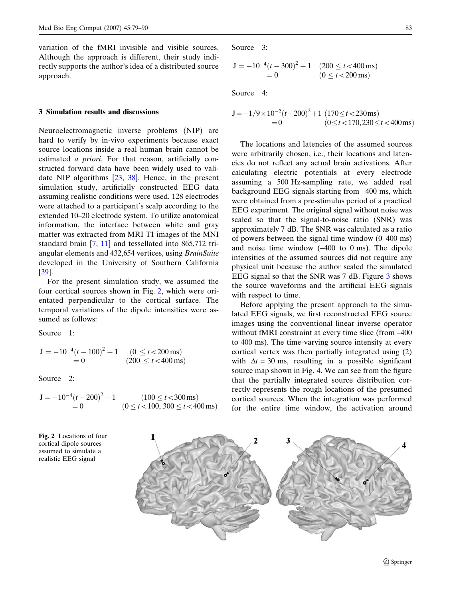<span id="page-4-0"></span>variation of the fMRI invisible and visible sources. Although the approach is different, their study indirectly supports the author's idea of a distributed source approach.

## 3 Simulation results and discussions

Neuroelectromagnetic inverse problems (NIP) are hard to verify by in-vivo experiments because exact source locations inside a real human brain cannot be estimated a priori. For that reason, artificially constructed forward data have been widely used to validate NIP algorithms [[23,](#page-10-0) [38\]](#page-10-0). Hence, in the present simulation study, artificially constructed EEG data assuming realistic conditions were used. 128 electrodes were attached to a participant's scalp according to the extended 10–20 electrode system. To utilize anatomical information, the interface between white and gray matter was extracted from MRI T1 images of the MNI standard brain [[7,](#page-10-0) [11](#page-10-0)] and tessellated into 865,712 triangular elements and 432,654 vertices, using BrainSuite developed in the University of Southern California [\[39](#page-10-0)].

For the present simulation study, we assumed the four cortical sources shown in Fig. 2, which were orientated perpendicular to the cortical surface. The temporal variations of the dipole intensities were assumed as follows:

Source 1:

$$
J = -10^{-4} (t - 100)^{2} + 1 \t (0 \le t < 200 \text{ ms})
$$
  
= 0 \t (200 \le t < 400 \text{ ms})

Source 2:

$$
J = -10^{-4}(t - 200)^{2} + 1
$$
  
= 0 (100 \le t < 300 ms)  
(0 \le t < 100, 300 \le t < 400 ms)

Fig. 2 Locations of four cortical dipole sources assumed to simulate a realistic EEG signal

Source 3:

 $J = -10^{-4}(t - 300)^2 + 1$  (200  $\le t < 400$  ms)  $= 0$   $(0 \le t < 200 \,\text{ms})$ 

Source 4<sup>.</sup>

$$
J = -1/9 \times 10^{-2} (t - 200)^2 + 1 (170 \le t < 230 \,\text{ms})
$$
  
= 0 (0 \le t < 170,230 \le t < 400 \,\text{ms})

The locations and latencies of the assumed sources were arbitrarily chosen, i.e., their locations and latencies do not reflect any actual brain activations. After calculating electric potentials at every electrode assuming a 500 Hz-sampling rate, we added real background EEG signals starting from –400 ms, which were obtained from a pre-stimulus period of a practical EEG experiment. The original signal without noise was scaled so that the signal-to-noise ratio (SNR) was approximately 7 dB. The SNR was calculated as a ratio of powers between the signal time window (0–400 ms) and noise time window (–400 to 0 ms). The dipole intensities of the assumed sources did not require any physical unit because the author scaled the simulated EEG signal so that the SNR was 7 dB. Figure [3](#page-5-0) shows the source waveforms and the artificial EEG signals with respect to time.

Before applying the present approach to the simulated EEG signals, we first reconstructed EEG source images using the conventional linear inverse operator without fMRI constraint at every time slice (from –400 to 400 ms). The time-varying source intensity at every cortical vertex was then partially integrated using (2) with  $\Delta t = 30$  ms, resulting in a possible significant source map shown in Fig. [4.](#page-5-0) We can see from the figure that the partially integrated source distribution correctly represents the rough locations of the presumed cortical sources. When the integration was performed for the entire time window, the activation around

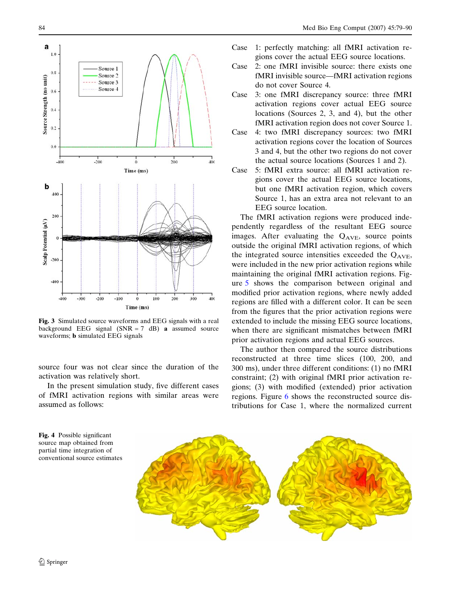

Fig. 3 Simulated source waveforms and EEG signals with a real background EEG signal  $(SNR = 7$  dB) **a** assumed source waveforms; b simulated EEG signals

source four was not clear since the duration of the activation was relatively short.

In the present simulation study, five different cases of fMRI activation regions with similar areas were assumed as follows:

<span id="page-5-0"></span>84 Med Bio Eng Comput (2007) 45:79–90

- Case 1: perfectly matching: all fMRI activation regions cover the actual EEG source locations.
- Case 2: one fMRI invisible source: there exists one fMRI invisible source—fMRI activation regions do not cover Source 4.
- Case 3: one fMRI discrepancy source: three fMRI activation regions cover actual EEG source locations (Sources 2, 3, and 4), but the other fMRI activation region does not cover Source 1.
- Case 4: two fMRI discrepancy sources: two fMRI activation regions cover the location of Sources 3 and 4, but the other two regions do not cover the actual source locations (Sources 1 and 2).
- Case 5: fMRI extra source: all fMRI activation regions cover the actual EEG source locations, but one fMRI activation region, which covers Source 1, has an extra area not relevant to an EEG source location.

The fMRI activation regions were produced independently regardless of the resultant EEG source images. After evaluating the  $Q_{AVE}$ , source points outside the original fMRI activation regions, of which the integrated source intensities exceeded the  $Q_{AVE}$ , were included in the new prior activation regions while maintaining the original fMRI activation regions. Figure [5](#page-6-0) shows the comparison between original and modified prior activation regions, where newly added regions are filled with a different color. It can be seen from the figures that the prior activation regions were extended to include the missing EEG source locations, when there are significant mismatches between fMRI prior activation regions and actual EEG sources.

The author then compared the source distributions reconstructed at three time slices (100, 200, and 300 ms), under three different conditions: (1) no fMRI constraint; (2) with original fMRI prior activation regions; (3) with modified (extended) prior activation regions. Figure [6](#page-6-0) shows the reconstructed source distributions for Case 1, where the normalized current

Fig. 4 Possible significant source map obtained from partial time integration of conventional source estimates

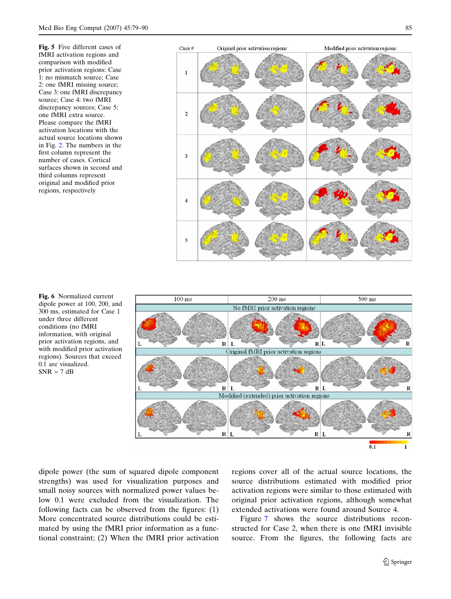<span id="page-6-0"></span>Fig. 5 Five different cases of fMRI activation regions and comparison with modified prior activation regions: Case 1: no mismatch source; Case 2: one fMRI missing source; Case 3: one fMRI discrepancy source; Case 4: two fMRI discrepancy sources; Case 5: one fMRI extra source. Please compare the fMRI activation locations with the actual source locations shown in Fig. [2.](#page-4-0) The numbers in the first column represent the number of cases. Cortical surfaces shown in second and third columns represent original and modified prior regions, respectively





Fig. 6 Normalized current dipole power at 100, 200, and 300 ms, estimated for Case 1 under three different conditions (no fMRI information, with original prior activation regions, and with modified prior activation regions). Sources that exceed 0.1 are visualized.  $SNR = 7 dB$ 

dipole power (the sum of squared dipole component strengths) was used for visualization purposes and small noisy sources with normalized power values below 0.1 were excluded from the visualization. The following facts can be observed from the figures: (1) More concentrated source distributions could be estimated by using the fMRI prior information as a functional constraint; (2) When the fMRI prior activation regions cover all of the actual source locations, the source distributions estimated with modified prior activation regions were similar to those estimated with original prior activation regions, although somewhat extended activations were found around Source 4.

Figure [7](#page-7-0) shows the source distributions reconstructed for Case 2, when there is one fMRI invisible source. From the figures, the following facts are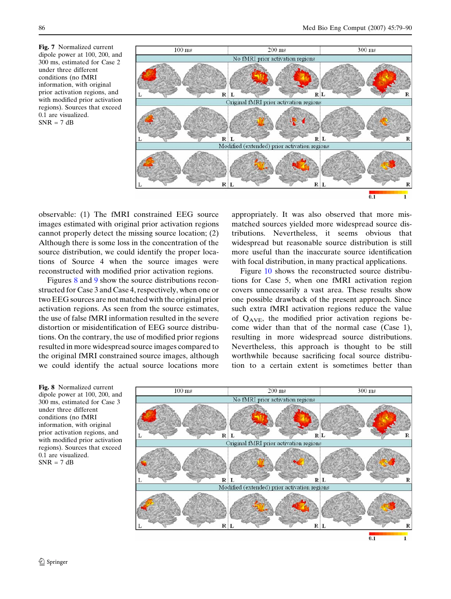<span id="page-7-0"></span>Fig. 7 Normalized current dipole power at 100, 200, and 300 ms, estimated for Case 2 under three different conditions (no fMRI information, with original prior activation regions, and with modified prior activation regions). Sources that exceed 0.1 are visualized.  $SNR = 7 dB$ 



observable: (1) The fMRI constrained EEG source images estimated with original prior activation regions cannot properly detect the missing source location; (2) Although there is some loss in the concentration of the source distribution, we could identify the proper locations of Source 4 when the source images were reconstructed with modified prior activation regions.

Figures 8 and [9](#page-8-0) show the source distributions reconstructed for Case 3 and Case 4, respectively, when one or two EEG sources are not matched with the original prior activation regions. As seen from the source estimates, the use of false fMRI information resulted in the severe distortion or misidentification of EEG source distributions. On the contrary, the use of modified prior regions resulted in more widespread source images compared to the original fMRI constrained source images, although we could identify the actual source locations more

appropriately. It was also observed that more mismatched sources yielded more widespread source distributions. Nevertheless, it seems obvious that widespread but reasonable source distribution is still more useful than the inaccurate source identification with focal distribution, in many practical applications.

Figure [10](#page-8-0) shows the reconstructed source distributions for Case 5, when one fMRI activation region covers unnecessarily a vast area. These results show one possible drawback of the present approach. Since such extra fMRI activation regions reduce the value of  $Q_{\text{AVE}}$ , the modified prior activation regions become wider than that of the normal case (Case 1), resulting in more widespread source distributions. Nevertheless, this approach is thought to be still worthwhile because sacrificing focal source distribution to a certain extent is sometimes better than

Fig. 8 Normalized current dipole power at 100, 200, and 300 ms, estimated for Case 3 under three different conditions (no fMRI information, with original prior activation regions, and with modified prior activation regions). Sources that exceed 0.1 are visualized.  $SNR = 7 dB$ 

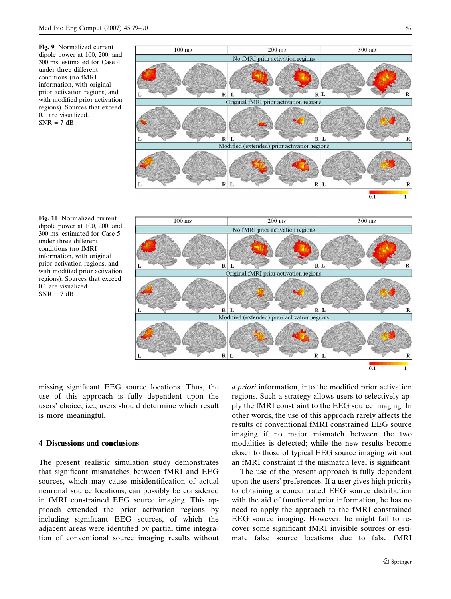<span id="page-8-0"></span>Fig. 9 Normalized current dipole power at 100, 200, and 300 ms, estimated for Case 4 under three different conditions (no fMRI information, with original prior activation regions, and with modified prior activation regions). Sources that exceed 0.1 are visualized.  $SNR = 7 dB$ 





Fig. 10 Normalized current dipole power at 100, 200, and 300 ms, estimated for Case 5 under three different conditions (no fMRI information, with original prior activation regions, and with modified prior activation regions). Sources that exceed 0.1 are visualized.  $SNR = 7 dB$ 

missing significant EEG source locations. Thus, the use of this approach is fully dependent upon the users' choice, i.e., users should determine which result is more meaningful.

## 4 Discussions and conclusions

The present realistic simulation study demonstrates that significant mismatches between fMRI and EEG sources, which may cause misidentification of actual neuronal source locations, can possibly be considered in fMRI constrained EEG source imaging. This approach extended the prior activation regions by including significant EEG sources, of which the adjacent areas were identified by partial time integration of conventional source imaging results without a priori information, into the modified prior activation regions. Such a strategy allows users to selectively apply the fMRI constraint to the EEG source imaging. In other words, the use of this approach rarely affects the results of conventional fMRI constrained EEG source imaging if no major mismatch between the two modalities is detected; while the new results become closer to those of typical EEG source imaging without an fMRI constraint if the mismatch level is significant.

The use of the present approach is fully dependent upon the users' preferences. If a user gives high priority to obtaining a concentrated EEG source distribution with the aid of functional prior information, he has no need to apply the approach to the fMRI constrained EEG source imaging. However, he might fail to recover some significant fMRI invisible sources or estimate false source locations due to false fMRI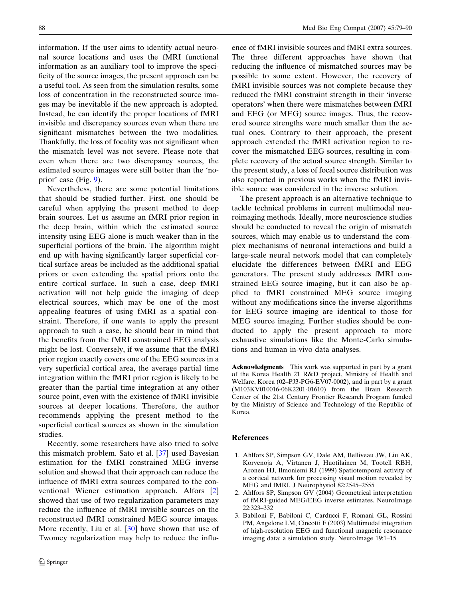<span id="page-9-0"></span>information. If the user aims to identify actual neuronal source locations and uses the fMRI functional information as an auxiliary tool to improve the specificity of the source images, the present approach can be a useful tool. As seen from the simulation results, some loss of concentration in the reconstructed source images may be inevitable if the new approach is adopted. Instead, he can identify the proper locations of fMRI invisible and discrepancy sources even when there are significant mismatches between the two modalities. Thankfully, the loss of focality was not significant when the mismatch level was not severe. Please note that even when there are two discrepancy sources, the estimated source images were still better than the 'noprior' case (Fig. [9\)](#page-8-0).

Nevertheless, there are some potential limitations that should be studied further. First, one should be careful when applying the present method to deep brain sources. Let us assume an fMRI prior region in the deep brain, within which the estimated source intensity using EEG alone is much weaker than in the superficial portions of the brain. The algorithm might end up with having significantly larger superficial cortical surface areas be included as the additional spatial priors or even extending the spatial priors onto the entire cortical surface. In such a case, deep fMRI activation will not help guide the imaging of deep electrical sources, which may be one of the most appealing features of using fMRI as a spatial constraint. Therefore, if one wants to apply the present approach to such a case, he should bear in mind that the benefits from the fMRI constrained EEG analysis might be lost. Conversely, if we assume that the fMRI prior region exactly covers one of the EEG sources in a very superficial cortical area, the average partial time integration within the fMRI prior region is likely to be greater than the partial time integration at any other source point, even with the existence of fMRI invisible sources at deeper locations. Therefore, the author recommends applying the present method to the superficial cortical sources as shown in the simulation studies.

Recently, some researchers have also tried to solve this mismatch problem. Sato et al. [[37\]](#page-10-0) used Bayesian estimation for the fMRI constrained MEG inverse solution and showed that their approach can reduce the influence of fMRI extra sources compared to the conventional Wiener estimation approach. Alfors [2] showed that use of two regularization parameters may reduce the influence of fMRI invisible sources on the reconstructed fMRI constrained MEG source images. More recently, Liu et al.  $[30]$  $[30]$  have shown that use of Twomey regularization may help to reduce the influ-

ence of fMRI invisible sources and fMRI extra sources. The three different approaches have shown that reducing the influence of mismatched sources may be possible to some extent. However, the recovery of fMRI invisible sources was not complete because they reduced the fMRI constraint strength in their 'inverse operators' when there were mismatches between fMRI and EEG (or MEG) source images. Thus, the recovered source strengths were much smaller than the actual ones. Contrary to their approach, the present approach extended the fMRI activation region to recover the mismatched EEG sources, resulting in complete recovery of the actual source strength. Similar to the present study, a loss of focal source distribution was also reported in previous works when the fMRI invisible source was considered in the inverse solution.

The present approach is an alternative technique to tackle technical problems in current multimodal neuroimaging methods. Ideally, more neuroscience studies should be conducted to reveal the origin of mismatch sources, which may enable us to understand the complex mechanisms of neuronal interactions and build a large-scale neural network model that can completely elucidate the differences between fMRI and EEG generators. The present study addresses fMRI constrained EEG source imaging, but it can also be applied to fMRI constrained MEG source imaging without any modifications since the inverse algorithms for EEG source imaging are identical to those for MEG source imaging. Further studies should be conducted to apply the present approach to more exhaustive simulations like the Monte-Carlo simulations and human in-vivo data analyses.

Acknowledgments This work was supported in part by a grant of the Korea Health 21 R&D project, Ministry of Health and Welfare, Korea (02–PJ3-PG6-EV07-0002), and in part by a grant (M103KV010016-06K2201-01610) from the Brain Research Center of the 21st Century Frontier Research Program funded by the Ministry of Science and Technology of the Republic of Korea.

## References

- 1. Ahlfors SP, Simpson GV, Dale AM, Belliveau JW, Liu AK, Korvenoja A, Virtanen J, Huotilainen M, Tootell RBH, Aronen HJ, Ilmoniemi RJ (1999) Spatiotemporal activity of a cortical network for processing visual motion revealed by MEG and fMRI. J Neurophysiol 82:2545–2555
- 2. Ahlfors SP, Simpson GV (2004) Geometrical interpretation of fMRI-guided MEG/EEG inverse estimates. NeuroImage 22:323–332
- 3. Babiloni F, Babiloni C, Carducci F, Romani GL, Rossini PM, Angelone LM, Cincotti F (2003) Multimodal integration of high-resolution EEG and functional magnetic resonance imaging data: a simulation study. NeuroImage 19:1–15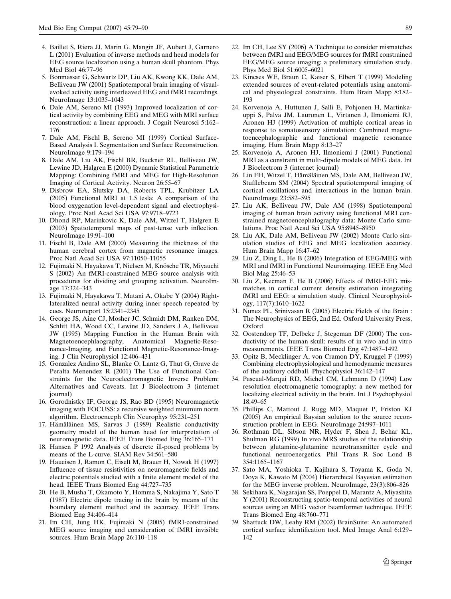- <span id="page-10-0"></span>4. Baillet S, Riera JJ, Marin G, Mangin JF, Aubert J, Garnero L (2001) Evaluation of inverse methods and head models for EEG source localization using a human skull phantom. Phys Med Biol 46:77–96
- 5. Bonmassar G, Schwartz DP, Liu AK, Kwong KK, Dale AM, Belliveau JW (2001) Spatiotemporal brain imaging of visualevoked activity using interleaved EEG and fMRI recordings. NeuroImage 13:1035–1043
- 6. Dale AM, Sereno MI (1993) Improved localization of cortical activity by combining EEG and MEG with MRI surface reconstruction: a linear approach. J Cognit Neurosci 5:162– 176
- 7. Dale AM, Fischl B, Sereno MI (1999) Cortical Surface-Based Analysis I. Segmentation and Surface Reconstruction. NeuroImage 9:179–194
- 8. Dale AM, Liu AK, Fischl BR, Buckner RL, Belliveau JW, Lewine JD, Halgren E (2000) Dynamic Statistical Parametric Mapping: Combining fMRI and MEG for High-Resolution Imaging of Cortical Activity. Neuron 26:55–67
- 9. Disbrow EA, Slutsky DA, Roberts TPL, Krubitzer LA (2005) Functional MRI at 1.5 tesla: A comparison of the blood oxygenation level-dependent signal and electrophysiology. Proc Natl Acad Sci USA 97:9718–9723
- 10. Dhond RP, Marinkovic K, Dale AM, Witzel T, Halgren E (2003) Spatiotemporal maps of past-tense verb inflection. NeuroImage 19:91–100
- 11. Fischl B, Dale AM (2000) Measuring the thickness of the human cerebral cortex from magnetic resonance images. Proc Natl Acad Sci USA 97:11050–11055
- 12. Fujimaki N, Hayakawa T, Nielsen M, Knösche TR, Miyauchi S (2002) An fMRI-constrained MEG source analysis with procedures for dividing and grouping activation. NeuroImage 17:324–343
- 13. Fujimaki N, Hayakawa T, Matani A, Okabe Y (2004) Rightlateralized neural activity during inner speech repeated by cues. Neuroreport 15:2341–2345
- 14. George JS, Aine CJ, Mosher JC, Schmidt DM, Ranken DM, Schlitt HA, Wood CC, Lewine JD, Sanders J A, Belliveau JW (1995) Mapping Function in the Human Brain with Magnetoencephlaography, Anatomical Magnetic-Resonance-Imaging, and Functional Magnetic-Resonance-Imaging. J Clin Neurophysiol 12:406–431
- 15. Gonzalez Andino SL, Blanke O, Lantz G, Thut G, Grave de Peralta Menendez R (2001) The Use of Functional Constraints for the Neuroelectromagnetic Inverse Problem: Alternatives and Caveats. Int J Bioelectrom 3 (internet journal)
- 16. Gorodnistky IF, George JS, Rao BD (1995) Neuromagnetic imaging with FOCUSS: a recursive weighted minimum norm algorithm. Electroenceph Clin Neurophys 95:231–251
- 17. Hämäläinen MS, Sarvas J (1989) Realistic conductivity geometry model of the human head for interpretation of neuromagnetic data. IEEE Trans Biomed Eng 36:165–171
- 18. Hansen P 1992 Analysis of discrete ill-posed problems by means of the L-curve. SIAM Rev 34:561–580
- 19. Haueisen J, Ramon C, Eiselt M, Brauer H, Nowak H (1997) Influence of tissue resistivities on neuromagnetic fields and electric potentials studied with a finite element model of the head. IEEE Trans Biomed Eng 44:727–735
- 20. He B, Musha T, Okamoto Y, Homma S, Nakajima Y, Sato T (1987) Electric dipole tracing in the brain by means of the boundary element method and its accuracy. IEEE Trans Biomed Eng 34:406–414
- 21. Im CH, Jung HK, Fujimaki N (2005) fMRI-constrained MEG source imaging and consideration of fMRI invisible sources. Hum Brain Mapp 26:110–118
- 22. Im CH, Lee SY (2006) A Technique to consider mismatches between fMRI and EEG/MEG sources for fMRI constrained EEG/MEG source imaging: a preliminary simulation study. Phys Med Biol 51:6005–6021
- 23. Kincses WE, Braun C, Kaiser S, Elbert T (1999) Modeling extended sources of event-related potentials using anatomical and physiological constraints. Hum Brain Mapp 8:182– 193
- 24. Korvenoja A, Huttunen J, Salli E, Pohjonen H, Martinkauppi S, Palva JM, Lauronen L, Virtanen J, Ilmoniemi RJ, Aronen HJ (1999) Activation of multiple cortical areas in response to somatosensory stimulation: Combined magnetoencephalographic and functional magnetic resonance imaging. Hum Brain Mapp 8:13–27
- 25. Korvenoja A, Aronen HJ, Ilmoniemi J (2001) Functional MRI as a constraint in multi-dipole models of MEG data. Int J Bioelectrom 3 (internet journal)
- 26. Lin FH, Witzel T, Hämäläinen MS, Dale AM, Belliveau JW, Stufflebeam SM (2004) Spectral spatiotemporal imaging of cortical oscillations and interactions in the human brain. NeuroImage 23:582–595
- 27. Liu AK, Belliveau JW, Dale AM (1998) Spatiotemporal imaging of human brain activity using functional MRI constrained magnetoencephalography data: Monte Carlo simulations. Proc Natl Acad Sci USA 95:8945–8950
- 28. Liu AK, Dale AM, Belliveau JW (2002) Monte Carlo simulation studies of EEG and MEG localization accuracy. Hum Brain Mapp 16:47–62
- 29. Liu Z, Ding L, He B (2006) Integration of EEG/MEG with MRI and fMRI in Functional Neuroimaging. IEEE Eng Med Biol Mag 25:46–53
- 30. Liu Z, Kecman F, He B (2006) Effects of fMRI-EEG mismatches in cortical current density estimation integrating fMRI and EEG: a simulation study. Clinical Neurophysiology, 117(7):1610–1622
- 31. Nunez PL, Srinivasan R (2005) Electric Fields of the Brain : The Neurophysics of EEG, 2nd Ed. Oxford University Press, Oxford
- 32. Oostendorp TF, Delbeke J, Stegeman DF (2000) The conductivity of the human skull: results of in vivo and in vitro measurements. IEEE Trans Biomed Eng 47:1487–1492
- 33. Opitz B, Mecklinger A, von Cramon DY, Kruggel F (1999) Combining electrophysiological and hemodynamic measures of the auditory oddball. Phychophysiol 36:142–147
- 34. Pascual-Marqui RD, Michel CM, Lehmann D (1994) Low resolution electromagnetic tomography: a new method for localizing electrical activity in the brain. Int J Psychophysiol 18:49–65
- 35. Phillips C, Mattout J, Rugg MD, Maquet P, Friston KJ (2005) An empirical Baysian solution to the source reconstruction problem in EEG. NeuroImage 24:997–1011
- 36. Rothman DL, Sibson NR, Hyder F, Shen J, Behar KL, Shulman RG (1999) In vivo MRS studies of the relationship between glutamine-glutamine neurotransmitter cycle and functional neuroenergetics. Phil Trans R Soc Lond B 354:1165–1167
- 37. Sato MA, Yoshioka T, Kajihara S, Toyama K, Goda N, Doya K, Kawato M (2004) Hierarchical Bayesian estimation for the MEG inverse problem. NeuroImage, 23(3):806–826
- 38. Sekihara K, Nagarajan SS, Poeppel D, Marantz A, Miyashita Y (2001) Reconstructing spatio-temporal activities of neural sources using an MEG vector beamformer technique. IEEE Trans Biomed Eng 48:760–771
- 39. Shattuck DW, Leahy RM (2002) BrainSuite: An automated cortical surface identification tool. Med Image Anal 6:129– 142